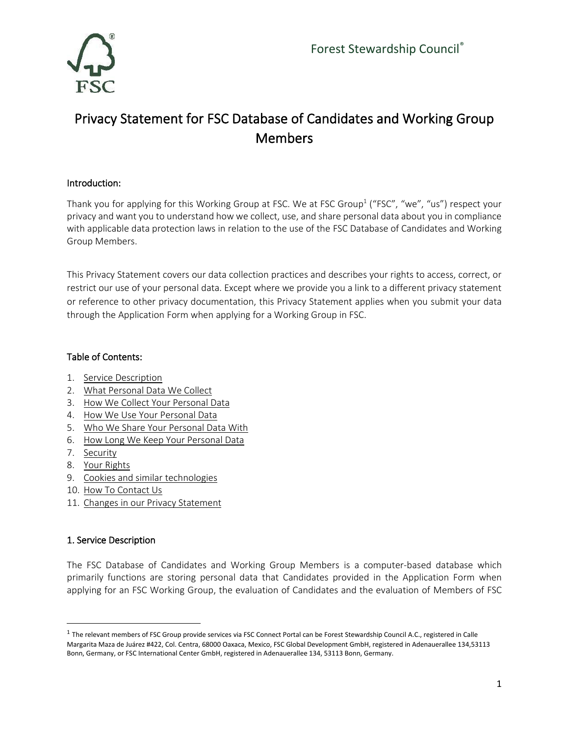

# Privacy Statement for FSC Database of Candidates and Working Group **Members**

# Introduction:

Thank you for applying for this Working Group at FSC. We at FSC Group<sup>1</sup> ("FSC", "we", "us") respect your privacy and want you to understand how we collect, use, and share personal data about you in compliance with applicable data protection laws in relation to the use of the FSC Database of Candidates and Working Group Members.

This Privacy Statement covers our data collection practices and describes your rights to access, correct, or restrict our use of your personal data. Except where we provide you a link to a different privacy statement or reference to other privacy documentation, this Privacy Statement applies when you submit your data through the Application Form when applying for a Working Group in FSC.

# Table of Contents:

- 1. Service Description
- 2. What Personal Data We Collect
- 3. How We Collect Your Personal Data
- 4. How We Use Your Personal Data
- 5. Who We Share Your Personal Data With
- 6. How Long We Keep Your Personal Data
- 7. Security
- 8. Your Rights
- 9. Cookies and similar technologies
- 10. How To Contact Us
- 11. Changes in our Privacy Statement

# 1. Service Description

The FSC Database of Candidates and Working Group Members is a computer-based database which primarily functions are storing personal data that Candidates provided in the Application Form when applying for an FSC Working Group, the evaluation of Candidates and the evaluation of Members of FSC

 $^1$  The relevant members of FSC Group provide services via FSC Connect Portal can be Forest Stewardship Council A.C., registered in Calle Margarita Maza de Juárez #422, Col. Centra, 68000 Oaxaca, Mexico, FSC Global Development GmbH, registered in Adenauerallee 134,53113 Bonn, Germany, or FSC International Center GmbH, registered in Adenauerallee 134, 53113 Bonn, Germany.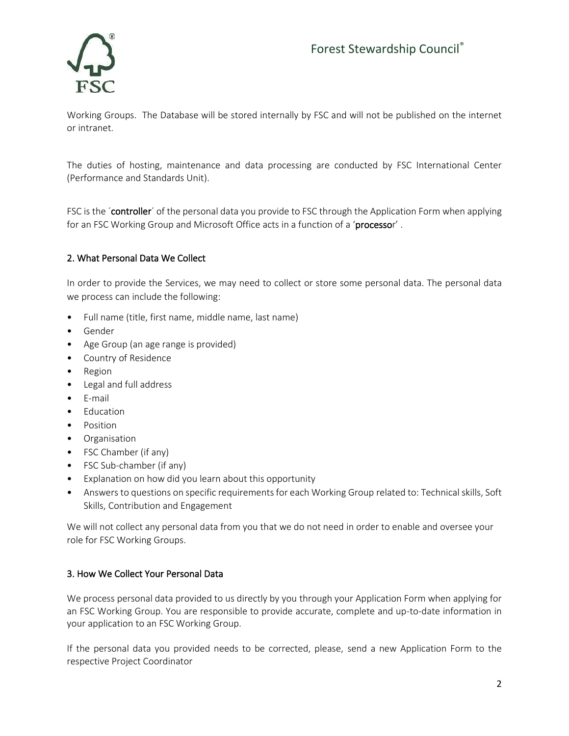

Working Groups. The Database will be stored internally by FSC and will not be published on the internet or intranet.

The duties of hosting, maintenance and data processing are conducted by FSC International Center (Performance and Standards Unit).

FSC is the 'controller' of the personal data you provide to FSC through the Application Form when applying for an FSC Working Group and Microsoft Office acts in a function of a 'processor'.

# 2. What Personal Data We Collect

In order to provide the Services, we may need to collect or store some personal data. The personal data we process can include the following:

- Full name (title, first name, middle name, last name)
- Gender
- Age Group (an age range is provided)
- Country of Residence
- Region
- Legal and full address
- E-mail
- Education
- Position
- Organisation
- FSC Chamber (if any)
- FSC Sub-chamber (if any)
- Explanation on how did you learn about this opportunity
- Answers to questions on specific requirements for each Working Group related to: Technical skills, Soft Skills, Contribution and Engagement

We will not collect any personal data from you that we do not need in order to enable and oversee your role for FSC Working Groups.

# 3. How We Collect Your Personal Data

We process personal data provided to us directly by you through your Application Form when applying for an FSC Working Group. You are responsible to provide accurate, complete and up-to-date information in your application to an FSC Working Group.

If the personal data you provided needs to be corrected, please, send a new Application Form to the respective Project Coordinator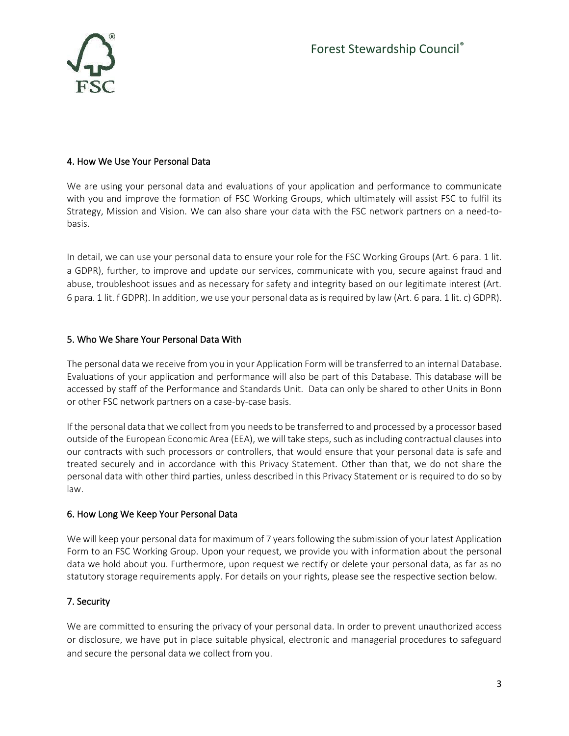

# 4. How We Use Your Personal Data

We are using your personal data and evaluations of your application and performance to communicate with you and improve the formation of FSC Working Groups, which ultimately will assist FSC to fulfil its Strategy, Mission and Vision. We can also share your data with the FSC network partners on a need-tobasis.

In detail, we can use your personal data to ensure your role for the FSC Working Groups (Art. 6 para. 1 lit. a GDPR), further, to improve and update our services, communicate with you, secure against fraud and abuse, troubleshoot issues and as necessary for safety and integrity based on our legitimate interest (Art. 6 para. 1 lit. f GDPR). In addition, we use your personal data as is required by law (Art. 6 para. 1 lit. c) GDPR).

#### 5. Who We Share Your Personal Data With

The personal data we receive from you in your Application Form will be transferred to an internal Database. Evaluations of your application and performance will also be part of this Database. This database will be accessed by staff of the Performance and Standards Unit. Data can only be shared to other Units in Bonn or other FSC network partners on a case-by-case basis.

If the personal data that we collect from you needs to be transferred to and processed by a processor based outside of the European Economic Area (EEA), we will take steps, such as including contractual clauses into our contracts with such processors or controllers, that would ensure that your personal data is safe and treated securely and in accordance with this Privacy Statement. Other than that, we do not share the personal data with other third parties, unless described in this Privacy Statement or is required to do so by law.

#### 6. How Long We Keep Your Personal Data

We will keep your personal data for maximum of 7 years following the submission of your latest Application Form to an FSC Working Group. Upon your request, we provide you with information about the personal data we hold about you. Furthermore, upon request we rectify or delete your personal data, as far as no statutory storage requirements apply. For details on your rights, please see the respective section below.

# 7. Security

We are committed to ensuring the privacy of your personal data. In order to prevent unauthorized access or disclosure, we have put in place suitable physical, electronic and managerial procedures to safeguard and secure the personal data we collect from you.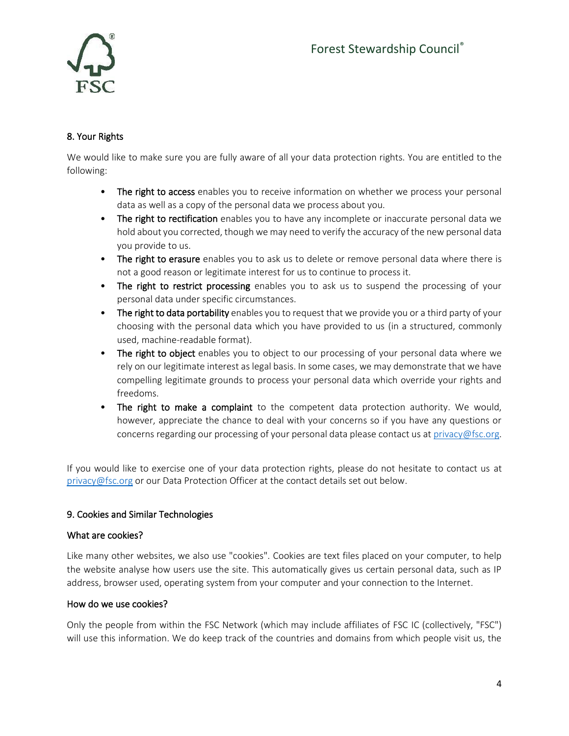

# 8. Your Rights

We would like to make sure you are fully aware of all your data protection rights. You are entitled to the following:

- The right to access enables you to receive information on whether we process your personal data as well as a copy of the personal data we process about you.
- The right to rectification enables you to have any incomplete or inaccurate personal data we hold about you corrected, though we may need to verify the accuracy of the new personal data you provide to us.
- The right to erasure enables you to ask us to delete or remove personal data where there is not a good reason or legitimate interest for us to continue to process it.
- The right to restrict processing enables you to ask us to suspend the processing of your personal data under specific circumstances.
- The right to data portability enables you to request that we provide you or a third party of your choosing with the personal data which you have provided to us (in a structured, commonly used, machine-readable format).
- The right to object enables you to object to our processing of your personal data where we rely on our legitimate interest as legal basis. In some cases, we may demonstrate that we have compelling legitimate grounds to process your personal data which override your rights and freedoms.
- The right to make a complaint to the competent data protection authority. We would, however, appreciate the chance to deal with your concerns so if you have any questions or concerns regarding our processing of your personal data please contact us a[t privacy@fsc.org.](mailto:privacy@fsc.org)

If you would like to exercise one of your data protection rights, please do not hesitate to contact us at [privacy@fsc.org](mailto:privacy@fsc.org) or our Data Protection Officer at the contact details set out below.

# 9. Cookies and Similar Technologies

# What are cookies?

Like many other websites, we also use "cookies". Cookies are text files placed on your computer, to help the website analyse how users use the site. This automatically gives us certain personal data, such as IP address, browser used, operating system from your computer and your connection to the Internet.

# How do we use cookies?

Only the people from within the FSC Network (which may include affiliates of FSC IC (collectively, "FSC") will use this information. We do keep track of the countries and domains from which people visit us, the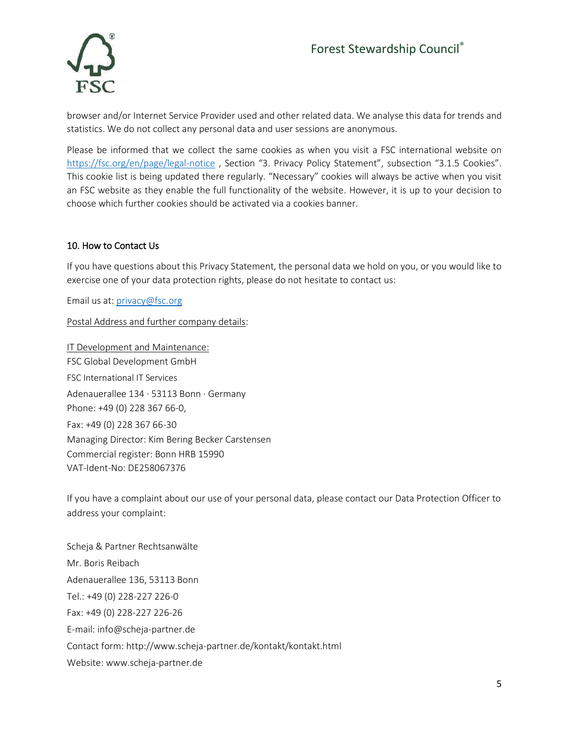

browser and/or Internet Service Provider used and other related data. We analyse this data for trends and statistics. We do not collect any personal data and user sessions are anonymous.

Please be informed that we collect the same cookies as when you visit a FSC international website on <https://fsc.org/en/page/legal-notice>, Section "3. Privacy Policy Statement", subsection "3.1.5 Cookies". This cookie list is being updated there regularly. "Necessary" cookies will always be active when you visit an FSC website as they enable the full functionality of the website. However, it is up to your decision to choose which further cookies should be activated via a cookies banner.

# 10. How to Contact Us

If you have questions about this Privacy Statement, the personal data we hold on you, or you would like to exercise one of your data protection rights, please do not hesitate to contact us:

Email us at: [privacy@fsc.org](mailto:privacy@fsc.org)

Postal Address and further company details:

IT Development and Maintenance: FSC Global Development GmbH FSC International IT Services Adenauerallee 134 · 53113 Bonn · Germany Phone: +49 (0) 228 367 66-0, Fax: +49 (0) 228 367 66-30 Managing Director: Kim Bering Becker Carstensen Commercial register: Bonn HRB 15990 VAT-Ident-No: DE258067376

If you have a complaint about our use of your personal data, please contact our Data Protection Officer to address your complaint:

Scheja & Partner Rechtsanwälte Mr. Boris Reibach Adenauerallee 136, 53113 Bonn Tel.: +49 (0) 228-227 226-0 Fax: +49 (0) 228-227 226-26 E-mail: info@scheja-partner.de Contact form: http://www.scheja-partner.de/kontakt/kontakt.html Website: [www.scheja-partner.de](http://www.scheja-partner.de/)